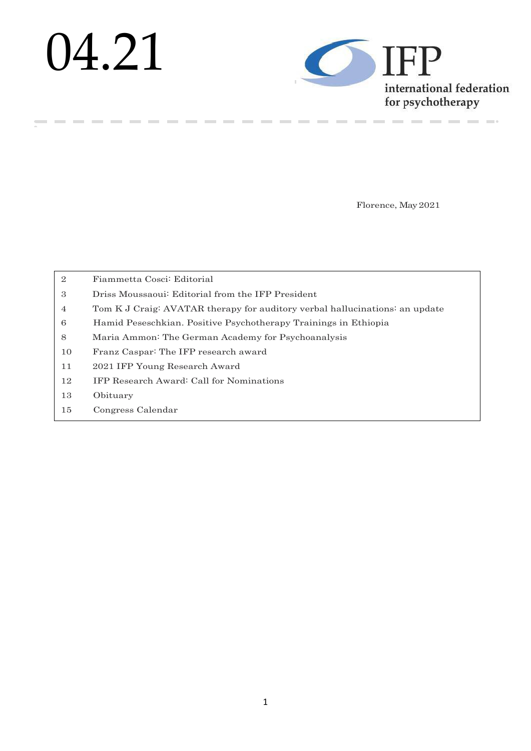# 04.21

**COLLECTION** 

**College** 

**Contract Contract** 



\_\_\_\_\_\_

Florence, May2021

**Contract Contract** 

**College** 

 $\sim$ 

| $\overline{2}$ | Fiammetta Cosci: Editorial                                                  |
|----------------|-----------------------------------------------------------------------------|
| 3              | Driss Moussaoui: Editorial from the IFP President                           |
| $\overline{4}$ | Tom K J Craig: AVATAR therapy for auditory verbal hallucinations: an update |
| 6              | Hamid Peseschkian. Positive Psychotherapy Trainings in Ethiopia             |
| 8              | Maria Ammon: The German Academy for Psychoanalysis                          |
| 10             | Franz Caspar: The IFP research award                                        |
| 11             | 2021 IFP Young Research Award                                               |
| 12             | <b>IFP Research Award: Call for Nominations</b>                             |
| 13             | Obituary                                                                    |
| 15             | Congress Calendar                                                           |

--------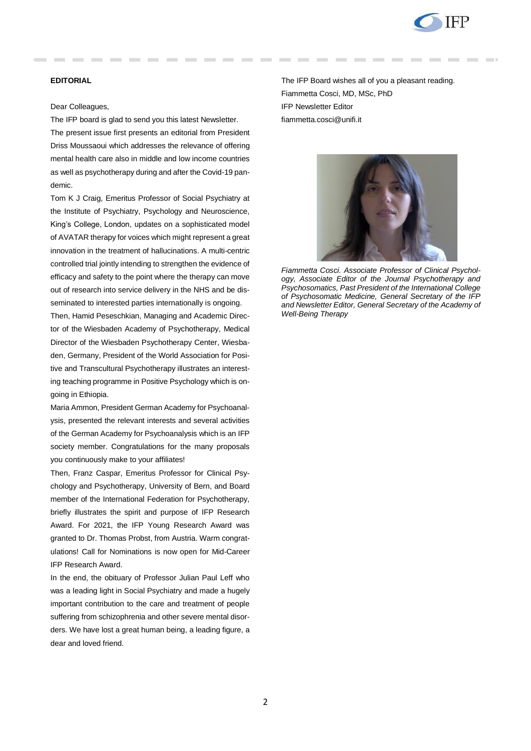

# **EDITORIAL**

### Dear Colleagues,

The IFP board is glad to send you this latest Newsletter.

The present issue first presents an editorial from President Driss Moussaoui which addresses the relevance of offering mental health care also in middle and low income countries as well as psychotherapy during and after the Covid-19 pandemic.

Tom K J Craig, Emeritus Professor of Social Psychiatry at the Institute of Psychiatry, Psychology and Neuroscience, King's College, London, updates on a sophisticated model of AVATAR therapy for voices which might represent a great innovation in the treatment of hallucinations. A multi-centric controlled trial jointly intending to strengthen the evidence of efficacy and safety to the point where the therapy can move out of research into service delivery in the NHS and be disseminated to interested parties internationally is ongoing.

Then, Hamid Peseschkian, Managing and Academic Director of the [Wiesbaden Academy of Psychotherapy,](http://www.wiap.de/) Medical Director of the [Wiesbaden Psychotherapy Center,](http://www.wiap.de/) Wiesbaden, Germany, President of the [World Association for Posi](http://www.positum.org/)[tive and Transcultural Psychotherapy](http://www.positum.org/) illustrates an interesting teaching programme in Positive Psychology which is ongoing in Ethiopia.

Maria Ammon, President German Academy for Psychoanalysis, presented the relevant interests and several activities of the German Academy for Psychoanalysis which is an IFP society member. Congratulations for the many proposals you continuously make to your affiliates!

Then, Franz Caspar, Emeritus Professor for Clinical Psychology and Psychotherapy, University of Bern, and Board member of the International Federation for Psychotherapy, briefly illustrates the spirit and purpose of IFP Research Award. For 2021, the IFP Young Research Award was granted to Dr. Thomas Probst, from Austria. Warm congratulations! Call for Nominations is now open for Mid-Career IFP Research Award.

In the end, the obituary of Professor Julian Paul Leff who was a leading light in Social Psychiatry and made a hugely important contribution to the care and treatment of people suffering from schizophrenia and other severe mental disorders. We have lost a great human being, a leading figure, a dear and loved friend.

The IFP Board wishes all of you a pleasant reading. Fiammetta Cosci, MD, MSc, PhD IFP Newsletter Editor fiammetta.cosci@unifi.it



*Fiammetta Cosci. Associate Professor of Clinical Psychology, Associate Editor of the Journal Psychotherapy and Psychosomatics, Past President of the International College of Psychosomatic Medicine, General Secretary of the IFP and Newsletter Editor, General Secretary of the Academy of Well-Being Therapy*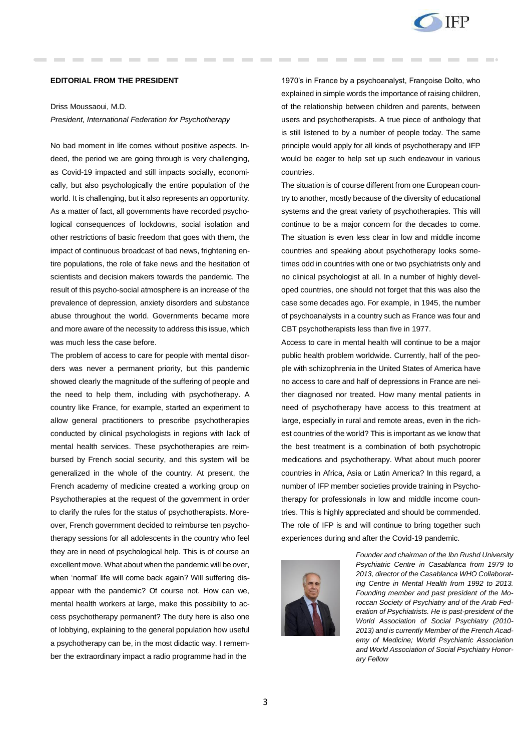

### **EDITORIAL FROM THE PRESIDENT**

# Driss Moussaoui, M.D. *President, International Federation for Psychotherapy*

No bad moment in life comes without positive aspects. Indeed, the period we are going through is very challenging, as Covid-19 impacted and still impacts socially, economically, but also psychologically the entire population of the world. It is challenging, but it also represents an opportunity. As a matter of fact, all governments have recorded psychological consequences of lockdowns, social isolation and other restrictions of basic freedom that goes with them, the impact of continuous broadcast of bad news, frightening entire populations, the role of fake news and the hesitation of scientists and decision makers towards the pandemic. The result of this psycho-social atmosphere is an increase of the prevalence of depression, anxiety disorders and substance abuse throughout the world. Governments became more and more aware of the necessity to address this issue, which was much less the case before.

The problem of access to care for people with mental disorders was never a permanent priority, but this pandemic showed clearly the magnitude of the suffering of people and the need to help them, including with psychotherapy. A country like France, for example, started an experiment to allow general practitioners to prescribe psychotherapies conducted by clinical psychologists in regions with lack of mental health services. These psychotherapies are reimbursed by French social security, and this system will be generalized in the whole of the country. At present, the French academy of medicine created a working group on Psychotherapies at the request of the government in order to clarify the rules for the status of psychotherapists. Moreover, French government decided to reimburse ten psychotherapy sessions for all adolescents in the country who feel they are in need of psychological help. This is of course an excellent move. What about when the pandemic will be over, when 'normal' life will come back again? Will suffering disappear with the pandemic? Of course not. How can we, mental health workers at large, make this possibility to access psychotherapy permanent? The duty here is also one of lobbying, explaining to the general population how useful a psychotherapy can be, in the most didactic way. I remember the extraordinary impact a radio programme had in the

1970's in France by a psychoanalyst, Françoise Dolto, who explained in simple words the importance of raising children, of the relationship between children and parents, between users and psychotherapists. A true piece of anthology that is still listened to by a number of people today. The same principle would apply for all kinds of psychotherapy and IFP would be eager to help set up such endeavour in various countries.

The situation is of course different from one European country to another, mostly because of the diversity of educational systems and the great variety of psychotherapies. This will continue to be a major concern for the decades to come. The situation is even less clear in low and middle income countries and speaking about psychotherapy looks sometimes odd in countries with one or two psychiatrists only and no clinical psychologist at all. In a number of highly developed countries, one should not forget that this was also the case some decades ago. For example, in 1945, the number of psychoanalysts in a country such as France was four and CBT psychotherapists less than five in 1977.

Access to care in mental health will continue to be a major public health problem worldwide. Currently, half of the people with schizophrenia in the United States of America have no access to care and half of depressions in France are neither diagnosed nor treated. How many mental patients in need of psychotherapy have access to this treatment at large, especially in rural and remote areas, even in the richest countries of the world? This is important as we know that the best treatment is a combination of both psychotropic medications and psychotherapy. What about much poorer countries in Africa, Asia or Latin America? In this regard, a number of IFP member societies provide training in Psychotherapy for professionals in low and middle income countries. This is highly appreciated and should be commended. The role of IFP is and will continue to bring together such experiences during and after the Covid-19 pandemic.



*Founder and chairman of the Ibn Rushd University Psychiatric Centre in Casablanca from 1979 to 2013, director of the Casablanca WHO Collaborating Centre in Mental Health from 1992 to 2013. Founding member and past president of the Moroccan Society of Psychiatry and of the Arab Federation of Psychiatrists. He is past-president of the World Association of Social Psychiatry (2010- 2013) and is currently Member of the French Academy of Medicine; World Psychiatric Association and World Association of Social Psychiatry Honorary Fellow*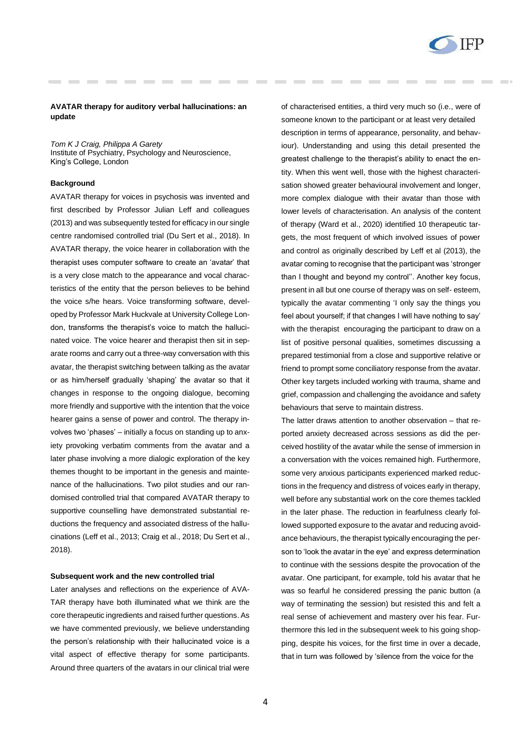

### **AVATAR therapy for auditory verbal hallucinations: an update**

*Tom K J Craig, Philippa A Garety* Institute of Psychiatry, Psychology and Neuroscience, King's College, London

### **Background**

AVATAR therapy for voices in psychosis was invented and first described by Professor Julian Leff and colleagues (2013) and was subsequently tested for efficacy in our single centre randomised controlled trial (Du Sert et al., 2018). In AVATAR therapy, the voice hearer in collaboration with the therapist uses computer software to create an 'avatar' that is a very close match to the appearance and vocal characteristics of the entity that the person believes to be behind the voice s/he hears. Voice transforming software, developed by Professor Mark Huckvale at University College London, transforms the therapist's voice to match the hallucinated voice. The voice hearer and therapist then sit in separate rooms and carry out a three-way conversation with this avatar, the therapist switching between talking as the avatar or as him/herself gradually 'shaping' the avatar so that it changes in response to the ongoing dialogue, becoming more friendly and supportive with the intention that the voice hearer gains a sense of power and control. The therapy involves two 'phases' – initially a focus on standing up to anxiety provoking verbatim comments from the avatar and a later phase involving a more dialogic exploration of the key themes thought to be important in the genesis and maintenance of the hallucinations. Two pilot studies and our randomised controlled trial that compared AVATAR therapy to supportive counselling have demonstrated substantial reductions the frequency and associated distress of the hallucinations (Leff et al., 2013; Craig et al., 2018; Du Sert et al., 2018).

### **Subsequent work and the new controlled trial**

Later analyses and reflections on the experience of AVA-TAR therapy have both illuminated what we think are the core therapeutic ingredients and raised further questions. As we have commented previously, we believe understanding the person's relationship with their hallucinated voice is a vital aspect of effective therapy for some participants. Around three quarters of the avatars in our clinical trial were

of characterised entities, a third very much so (i.e., were of someone known to the participant or at least very detailed description in terms of appearance, personality, and behaviour). Understanding and using this detail presented the greatest challenge to the therapist's ability to enact the entity. When this went well, those with the highest characterisation showed greater behavioural involvement and longer, more complex dialogue with their avatar than those with lower levels of characterisation. An analysis of the content of therapy (Ward et al., 2020) identified 10 therapeutic targets, the most frequent of which involved issues of power and control as originally described by Leff et al (2013), the avatar coming to recognise that the participant was 'stronger than I thought and beyond my control''. Another key focus, present in all but one course of therapy was on self- esteem, typically the avatar commenting 'I only say the things you feel about yourself; if that changes I will have nothing to say' with the therapist encouraging the participant to draw on a list of positive personal qualities, sometimes discussing a prepared testimonial from a close and supportive relative or friend to prompt some conciliatory response from the avatar. Other key targets included working with trauma, shame and grief, compassion and challenging the avoidance and safety behaviours that serve to maintain distress.

The latter draws attention to another observation – that reported anxiety decreased across sessions as did the perceived hostility of the avatar while the sense of immersion in a conversation with the voices remained high. Furthermore, some very anxious participants experienced marked reductions in the frequency and distress of voices early in therapy, well before any substantial work on the core themes tackled in the later phase. The reduction in fearfulness clearly followed supported exposure to the avatar and reducing avoidance behaviours, the therapist typically encouraging the person to 'look the avatar in the eye' and express determination to continue with the sessions despite the provocation of the avatar. One participant, for example, told his avatar that he was so fearful he considered pressing the panic button (a way of terminating the session) but resisted this and felt a real sense of achievement and mastery over his fear. Furthermore this led in the subsequent week to his going shopping, despite his voices, for the first time in over a decade, that in turn was followed by 'silence from the voice for the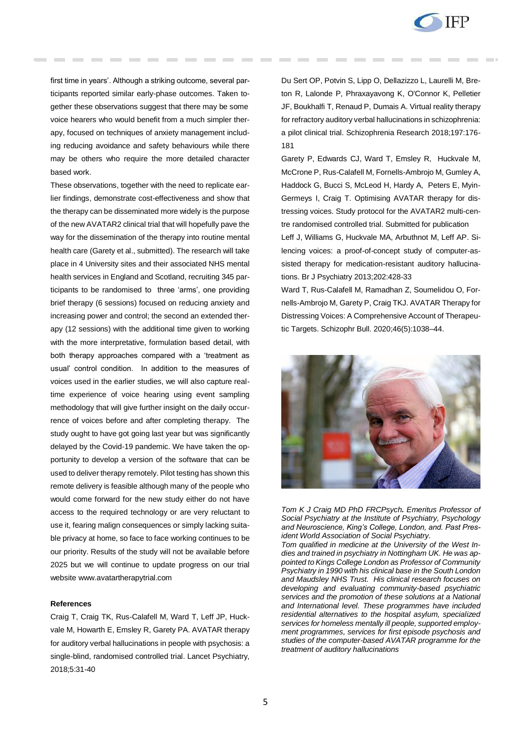

first time in years'. Although a striking outcome, several participants reported similar early-phase outcomes. Taken together these observations suggest that there may be some voice hearers who would benefit from a much simpler therapy, focused on techniques of anxiety management including reducing avoidance and safety behaviours while there may be others who require the more detailed character based work.

These observations, together with the need to replicate earlier findings, demonstrate cost-effectiveness and show that the therapy can be disseminated more widely is the purpose of the new AVATAR2 clinical trial that will hopefully pave the way for the dissemination of the therapy into routine mental health care (Garety et al., submitted). The research will take place in 4 University sites and their associated NHS mental health services in England and Scotland, recruiting 345 participants to be randomised to three 'arms', one providing brief therapy (6 sessions) focused on reducing anxiety and increasing power and control; the second an extended therapy (12 sessions) with the additional time given to working with the more interpretative, formulation based detail, with both therapy approaches compared with a 'treatment as usual' control condition. In addition to the measures of voices used in the earlier studies, we will also capture realtime experience of voice hearing using event sampling methodology that will give further insight on the daily occurrence of voices before and after completing therapy. The study ought to have got going last year but was significantly delayed by the Covid-19 pandemic. We have taken the opportunity to develop a version of the software that can be used to deliver therapy remotely. Pilot testing has shown this remote delivery is feasible although many of the people who would come forward for the new study either do not have access to the required technology or are very reluctant to use it, fearing malign consequences or simply lacking suitable privacy at home, so face to face working continues to be our priority. Results of the study will not be available before 2025 but we will continue to update progress on our trial website [www.avatartherapytrial.com](http://www.avatartherapytrial.com/)

### **References**

Craig T, Craig TK, Rus-Calafell M, Ward T, Leff JP, Huckvale M, Howarth E, Emsley R, Garety PA. AVATAR therapy for auditory verbal hallucinations in people with psychosis: a single-blind, randomised controlled trial. Lancet Psychiatry, 2018;5:31-40

Du Sert OP, Potvin S, Lipp O, Dellazizzo L, Laurelli M, Breton R, Lalonde P, Phraxayavong K, O'Connor K, Pelletier JF, Boukhalfi T, Renaud P, Dumais A. Virtual reality therapy for refractory auditory verbal hallucinations in schizophrenia: a pilot clinical trial. Schizophrenia Research 2018;197:176- 181

Garety P, Edwards CJ, Ward T, Emsley R, Huckvale M, McCrone P, Rus-Calafell M, Fornells-Ambrojo M, Gumley A, Haddock G, Bucci S, McLeod H, Hardy A, Peters E, Myin-Germeys I, Craig T. Optimising AVATAR therapy for distressing voices. Study protocol for the AVATAR2 multi-centre randomised controlled trial. Submitted for publication

Leff J, Williams G, Huckvale MA, Arbuthnot M, Leff AP. Silencing voices: a proof-of-concept study of computer-assisted therapy for medication-resistant auditory hallucinations. Br J Psychiatry 2013;202:428-33

Ward T, Rus-Calafell M, Ramadhan Z, Soumelidou O, Fornells-Ambrojo M, Garety P, Craig TKJ. AVATAR Therapy for Distressing Voices: A Comprehensive Account of Therapeutic Targets. Schizophr Bull. 2020;46(5):1038–44.



*Tom K J Craig MD PhD FRCPsych. Emeritus Professor of Social Psychiatry at the Institute of Psychiatry, Psychology and Neuroscience, King's College, London, and. Past President World Association of Social Psychiatry.* 

*Tom qualified in medicine at the University of the West Indies and trained in psychiatry in Nottingham UK. He was appointed to Kings College London as Professor of Community Psychiatry in 1990 with his clinical base in the South London and Maudsley NHS Trust. His clinical research focuses on developing and evaluating community-based psychiatric services and the promotion of these solutions at a National and International level. These programmes have included residential alternatives to the hospital asylum, specialized services for homeless mentally ill people, supported employment programmes, services for first episode psychosis and studies of the computer-based AVATAR programme for the treatment of auditory hallucinations*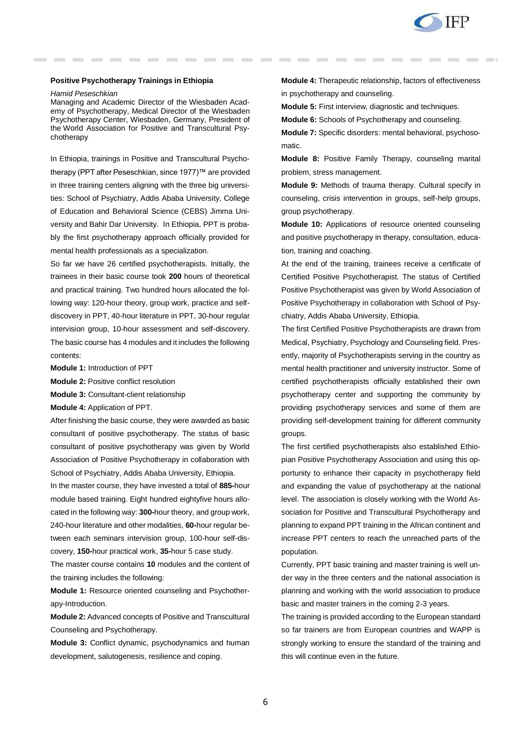

### **Positive Psychotherapy Trainings in Ethiopia**

*Hamid Peseschkian*

Managing and Academic Director of the [Wiesbaden Acad](http://www.wiap.de/)[emy of Psychotherapy,](http://www.wiap.de/) Medical Director of the [Wiesbaden](http://www.wiap.de/)  [Psychotherapy Center,](http://www.wiap.de/) Wiesbaden, Germany, President of the [World Association for Positive and Transcultural Psy](http://www.positum.org/)[chotherapy](http://www.positum.org/)

In Ethiopia, trainings in Positive and Transcultural Psychotherapy (PPT after Peseschkian, since 1977)™ are provided in three training centers aligning with the three big universities: School of Psychiatry, Addis Ababa University, College of Education and Behavioral Science (CEBS) Jimma University and Bahir Dar University. In Ethiopia, PPT is probably the first psychotherapy approach officially provided for mental health professionals as a specialization.

So far we have 26 certified psychotherapists. Initially, the trainees in their basic course took **200** hours of theoretical and practical training. Two hundred hours allocated the following way: 120-hour theory, group work, practice and selfdiscovery in PPT, 40-hour literature in PPT, 30-hour regular intervision group, 10-hour assessment and self-discovery. The basic course has 4 modules and it includes the following contents:

- **Module 1:** Introduction of PPT
- **Module 2:** Positive conflict resolution
- **Module 3:** Consultant-client relationship
- **Module 4:** Application of PPT.

After finishing the basic course, they were awarded as basic consultant of positive psychotherapy. The status of basic consultant of positive psychotherapy was given by World Association of Positive Psychotherapy in collaboration with School of Psychiatry, Addis Ababa University, Ethiopia.

In the master course, they have invested a total of **885-**hour module based training. Eight hundred eightyfive hours allocated in the following way: **300-**hour theory, and group work, 240-hour literature and other modalities, **60-**hour regular between each seminars intervision group, 100-hour self-discovery, **150-**hour practical work, **35-**hour 5 case study.

The master course contains **10** modules and the content of the training includes the following:

**Module 1:** Resource oriented counseling and Psychotherapy-Introduction.

**Module 2:** Advanced concepts of Positive and Transcultural Counseling and Psychotherapy.

**Module 3:** Conflict dynamic, psychodynamics and human development, salutogenesis, resilience and coping.

**Module 4:** Therapeutic relationship, factors of effectiveness in psychotherapy and counseling.

**Module 5:** First interview, diagnostic and techniques.

**Module 6:** Schools of Psychotherapy and counseling.

**Module 7:** Specific disorders: mental behavioral, psychosomatic.

**Module 8:** Positive Family Therapy, counseling marital problem, stress management.

**Module 9:** Methods of trauma therapy. Cultural specify in counseling, crisis intervention in groups, self-help groups, group psychotherapy.

**Module 10:** Applications of resource oriented counseling and positive psychotherapy in therapy, consultation, education, training and coaching.

At the end of the training, trainees receive a certificate of Certified Positive Psychotherapist. The status of Certified Positive Psychotherapist was given by World Association of Positive Psychotherapy in collaboration with School of Psychiatry, Addis Ababa University, Ethiopia.

The first Certified Positive Psychotherapists are drawn from Medical, Psychiatry, Psychology and Counseling field. Presently, majority of Psychotherapists serving in the country as mental health practitioner and university instructor. Some of certified psychotherapists officially established their own psychotherapy center and supporting the community by providing psychotherapy services and some of them are providing self-development training for different community groups.

The first certified psychotherapists also established Ethiopian Positive Psychotherapy Association and using this opportunity to enhance their capacity in psychotherapy field and expanding the value of psychotherapy at the national level. The association is closely working with the World Association for Positive and Transcultural Psychotherapy and planning to expand PPT training in the African continent and increase PPT centers to reach the unreached parts of the population.

Currently, PPT basic training and master training is well under way in the three centers and the national association is planning and working with the world association to produce basic and master trainers in the coming 2-3 years.

The training is provided according to the European standard so far trainers are from European countries and WAPP is strongly working to ensure the standard of the training and this will continue even in the future.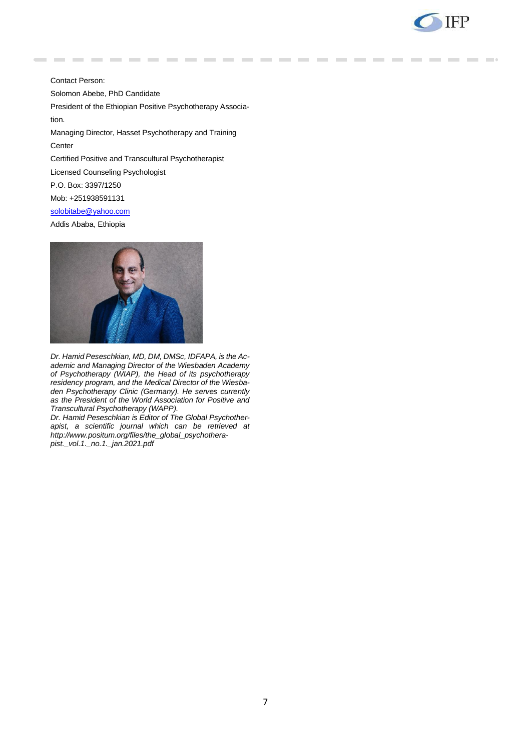

Contact Person: Solomon Abebe, PhD Candidate President of the Ethiopian Positive Psychotherapy Association. Managing Director, Hasset Psychotherapy and Training **Center** Certified Positive and Transcultural Psychotherapist Licensed Counseling Psychologist P.O. Box: 3397/1250 Mob: +251938591131 [solobitabe@yahoo.com](mailto:solobitabe@yahoo.com)

Addis Ababa, Ethiopia



*Dr. Hamid Peseschkian, MD, DM, DMSc, IDFAPA, is the Academic and Managing Director of the Wiesbaden Academy of Psychotherapy (WIAP), the Head of its psychotherapy residency program, and the Medical Director of the Wiesbaden Psychotherapy Clinic (Germany). He serves currently as the President of the World Association for Positive and Transcultural Psychotherapy (WAPP).*

*Dr. Hamid Peseschkian is Editor of The Global Psychotherapist, a scientific journal which can be retrieved at http://www.positum.org/files/the\_global\_psychotherapist.\_vol.1.\_no.1.\_jan.2021.pdf*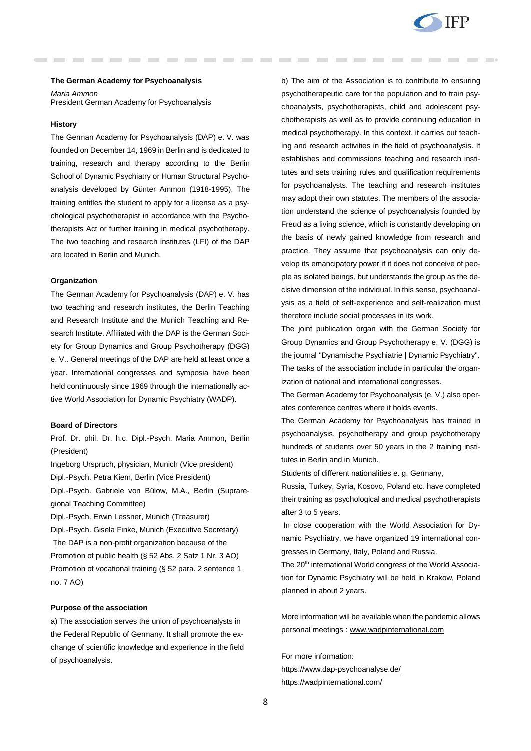

### **The German Academy for Psychoanalysis**

*Maria Ammon* President German Academy for Psychoanalysis

### **History**

The German Academy for Psychoanalysis (DAP) e. V. was founded on December 14, 1969 in Berlin and is dedicated to training, research and therapy according to the Berlin School of Dynamic Psychiatry or Human Structural Psychoanalysis developed by Günter Ammon (1918-1995). The training entitles the student to apply for a license as a psychological psychotherapist in accordance with the Psychotherapists Act or further training in medical psychotherapy. The two teaching and research institutes (LFI) of the DAP are located in Berlin and Munich.

### **Organization**

The German Academy for Psychoanalysis (DAP) e. V. has two teaching and research institutes, the Berlin Teaching and Research Institute and the Munich Teaching and Research Institute. Affiliated with the DAP is the German Society for Group Dynamics and Group Psychotherapy (DGG) e. V.. General meetings of the DAP are held at least once a year. International congresses and symposia have been held continuously since 1969 through the internationally active World Association for Dynamic Psychiatry (WADP).

# **Board of Directors**

Prof. Dr. phil. Dr. h.c. Dipl.-Psych. Maria Ammon, Berlin (President)

Ingeborg Urspruch, physician, Munich (Vice president)

Dipl.-Psych. Petra Kiem, Berlin (Vice President)

Dipl.-Psych. Gabriele von Bülow, M.A., Berlin (Supraregional Teaching Committee)

Dipl.-Psych. Erwin Lessner, Munich (Treasurer)

Dipl.-Psych. Gisela Finke, Munich (Executive Secretary) The DAP is a non-profit organization because of the Promotion of public health (§ 52 Abs. 2 Satz 1 Nr. 3 AO) Promotion of vocational training (§ 52 para. 2 sentence 1 no. 7 AO)

### **Purpose of the association**

a) The association serves the union of psychoanalysts in the Federal Republic of Germany. It shall promote the exchange of scientific knowledge and experience in the field of psychoanalysis.

b) The aim of the Association is to contribute to ensuring psychotherapeutic care for the population and to train psychoanalysts, psychotherapists, child and adolescent psychotherapists as well as to provide continuing education in medical psychotherapy. In this context, it carries out teaching and research activities in the field of psychoanalysis. It establishes and commissions teaching and research institutes and sets training rules and qualification requirements for psychoanalysts. The teaching and research institutes may adopt their own statutes. The members of the association understand the science of psychoanalysis founded by Freud as a living science, which is constantly developing on the basis of newly gained knowledge from research and practice. They assume that psychoanalysis can only develop its emancipatory power if it does not conceive of people as isolated beings, but understands the group as the decisive dimension of the individual. In this sense, psychoanalysis as a field of self-experience and self-realization must therefore include social processes in its work.

The joint publication organ with the German Society for Group Dynamics and Group Psychotherapy e. V. (DGG) is the journal "Dynamische Psychiatrie | Dynamic Psychiatry". The tasks of the association include in particular the organization of national and international congresses.

The German Academy for Psychoanalysis (e. V.) also operates conference centres where it holds events.

The German Academy for Psychoanalysis has trained in psychoanalysis, psychotherapy and group psychotherapy hundreds of students over 50 years in the 2 training institutes in Berlin and in Munich.

Students of different nationalities e. g. Germany,

Russia, Turkey, Syria, Kosovo, Poland etc. have completed their training as psychological and medical psychotherapists after 3 to 5 years.

In close cooperation with the World Association for Dynamic Psychiatry, we have organized 19 international congresses in Germany, Italy, Poland and Russia.

The 20<sup>th</sup> international World congress of the World Association for Dynamic Psychiatry will be held in Krakow, Poland planned in about 2 years.

More information will be available when the pandemic allows personal meetings : [www.wadpinternational.com](http://www.wadpinternational.com/)

For more information: <https://www.dap-psychoanalyse.de/> <https://wadpinternational.com/>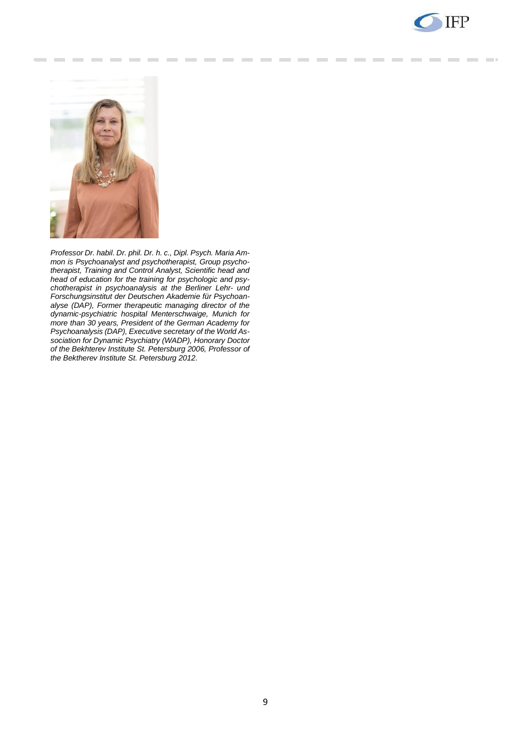



*Professor Dr. habil. Dr. phil. Dr. h. c., Dipl. Psych. Maria Ammon is Psychoanalyst and psychotherapist, Group psychotherapist, Training and Control Analyst, Scientific head and head of education for the training for psychologic and psychotherapist in psychoanalysis at the Berliner Lehr- und Forschungsinstitut der Deutschen Akademie für Psychoanalyse (DAP), Former therapeutic managing director of the dynamic-psychiatric hospital Menterschwaige, Munich for more than 30 years, President of the German Academy for Psychoanalysis (DAP), Executive secretary of the World Association for Dynamic Psychiatry (WADP), Honorary Doctor of the Bekhterev Institute St. Petersburg 2006, Professor of the Bektherev Institute St. Petersburg 2012.*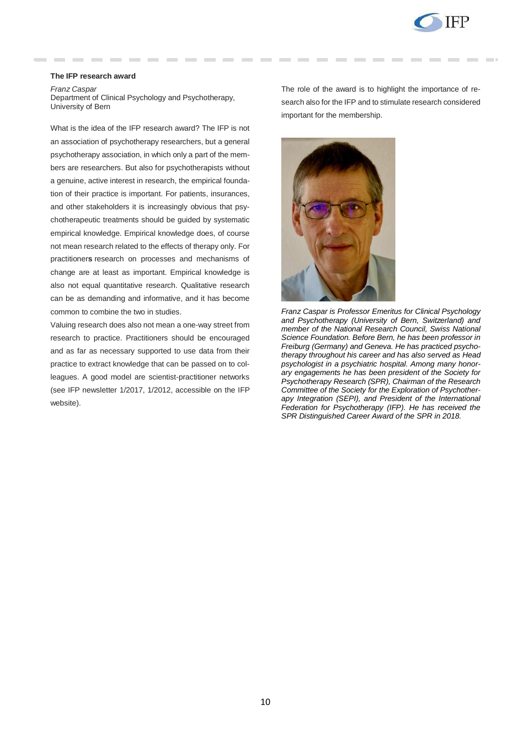

# **The IFP research award**

*Franz Caspar* Department of Clinical Psychology and Psychotherapy, University of Bern

What is the idea of the IFP research award? The IFP is not an association of psychotherapy researchers, but a general psychotherapy association, in which only a part of the members are researchers. But also for psychotherapists without a genuine, active interest in research, the empirical foundation of their practice is important. For patients, insurances, and other stakeholders it is increasingly obvious that psychotherapeutic treatments should be guided by systematic empirical knowledge. Empirical knowledge does, of course not mean research related to the effects of therapy only. For practitioner**s** research on processes and mechanisms of change are at least as important. Empirical knowledge is also not equal quantitative research. Qualitative research can be as demanding and informative, and it has become common to combine the two in studies.

Valuing research does also not mean a one-way street from research to practice. Practitioners should be encouraged and as far as necessary supported to use data from their practice to extract knowledge that can be passed on to colleagues. A good model are scientist-practitioner networks (see IFP newsletter 1/2017, 1/2012, accessible on the IFP website).

The role of the award is to highlight the importance of research also for the IFP and to stimulate research considered important for the membership.



*Franz Caspar is Professor Emeritus for Clinical Psychology and Psychotherapy (University of Bern, Switzerland) and member of the National Research Council, Swiss National Science Foundation. Before Bern, he has been professor in Freiburg (Germany) and Geneva. He has practiced psychotherapy throughout his career and has also served as Head psychologist in a psychiatric hospital. Among many honorary engagements he has been president of the Society for Psychotherapy Research (SPR), Chairman of the Research Committee of the Society for the Exploration of Psychotherapy Integration (SEPI), and President of the International Federation for Psychotherapy (IFP). He has received the SPR Distinguished Career Award of the SPR in 2018.*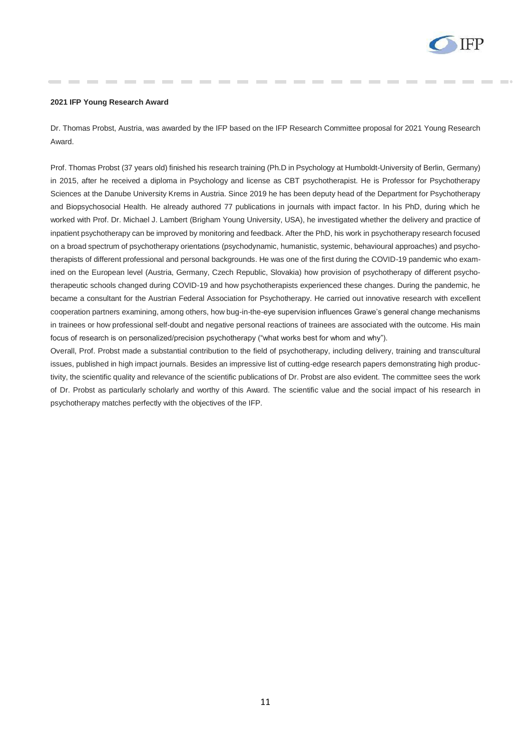

### **2021 IFP Young Research Award**

Dr. Thomas Probst, Austria, was awarded by the IFP based on the IFP Research Committee proposal for 2021 Young Research Award.

Prof. Thomas Probst (37 years old) finished his research training (Ph.D in Psychology at Humboldt-University of Berlin, Germany) in 2015, after he received a diploma in Psychology and license as CBT psychotherapist. He is Professor for Psychotherapy Sciences at the Danube University Krems in Austria. Since 2019 he has been deputy head of the Department for Psychotherapy and Biopsychosocial Health. He already authored 77 publications in journals with impact factor. In his PhD, during which he worked with Prof. Dr. Michael J. Lambert (Brigham Young University, USA), he investigated whether the delivery and practice of inpatient psychotherapy can be improved by monitoring and feedback. After the PhD, his work in psychotherapy research focused on a broad spectrum of psychotherapy orientations (psychodynamic, humanistic, systemic, behavioural approaches) and psychotherapists of different professional and personal backgrounds. He was one of the first during the COVID-19 pandemic who examined on the European level (Austria, Germany, Czech Republic, Slovakia) how provision of psychotherapy of different psychotherapeutic schools changed during COVID-19 and how psychotherapists experienced these changes. During the pandemic, he became a consultant for the Austrian Federal Association for Psychotherapy. He carried out innovative research with excellent cooperation partners examining, among others, how bug-in-the-eye supervision influences Grawe's general change mechanisms in trainees or how professional self-doubt and negative personal reactions of trainees are associated with the outcome. His main focus of research is on personalized/precision psychotherapy ("what works best for whom and why").

Overall, Prof. Probst made a substantial contribution to the field of psychotherapy, including delivery, training and transcultural issues, published in high impact journals. Besides an impressive list of cutting-edge research papers demonstrating high productivity, the scientific quality and relevance of the scientific publications of Dr. Probst are also evident. The committee sees the work of Dr. Probst as particularly scholarly and worthy of this Award. The scientific value and the social impact of his research in psychotherapy matches perfectly with the objectives of the IFP.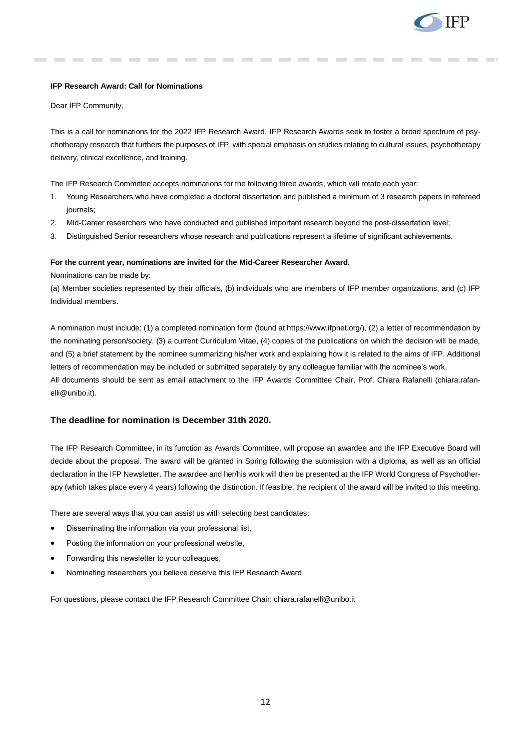

# **IFP Research Award: Call for Nominations**

Dear IFP Community,

This is a call for nominations for the 2022 IFP Research Award. IFP Research Awards seek to foster a broad spectrum of psychotherapy research that furthers the purposes of IFP, with special emphasis on studies relating to cultural issues, psychotherapy delivery, clinical excellence, and training.

The IFP Research Committee accepts nominations for the following three awards, which will rotate each year:

- 1. Young Researchers who have completed a doctoral dissertation and published a minimum of 3 research papers in refereed journals;
- 2. Mid-Career researchers who have conducted and published important research beyond the post-dissertation level;
- 3. Distinguished Senior researchers whose research and publications represent a lifetime of significant achievements.

### **For the current year, nominations are invited for the Mid-Career Researcher Award.**

Nominations can be made by:

(a) Member societies represented by their officials, (b) individuals who are members of IFP member organizations, and (c) IFP Individual members.

A nomination must include: (1) a completed nomination form (found at https://www.ifpnet.org/), (2) a letter of recommendation by the nominating person/society, (3) a current Curriculum Vitae, (4) copies of the publications on which the decision will be made, and (5) a brief statement by the nominee summarizing his/her work and explaining how it is related to the aims of IFP. Additional letters of recommendation may be included or submitted separately by any colleague familiar with the nominee's work. All documents should be sent as email attachment to the IFP Awards Committee Chair, Prof. Chiara Rafanelli (chiara.rafanelli@unibo.it).

### **The deadline for nomination is December 31th 2020.**

The IFP Research Committee, in its function as Awards Committee, will propose an awardee and the IFP Executive Board will decide about the proposal. The award will be granted in Spring following the submission with a diploma, as well as an official declaration in the IFP Newsletter. The awardee and her/his work will then be presented at the IFP World Congress of Psychotherapy (which takes place every 4 years) following the distinction. If feasible, the recipient of the award will be invited to this meeting.

There are several ways that you can assist us with selecting best candidates:

- Disseminating the information via your professional list,
- Posting the information on your professional website,
- Forwarding this newsletter to your colleagues,
- Nominating researchers you believe deserve this IFP Research Award.

For questions, please contact the IFP Research Committee Chair: chiara.rafanelli@unibo.it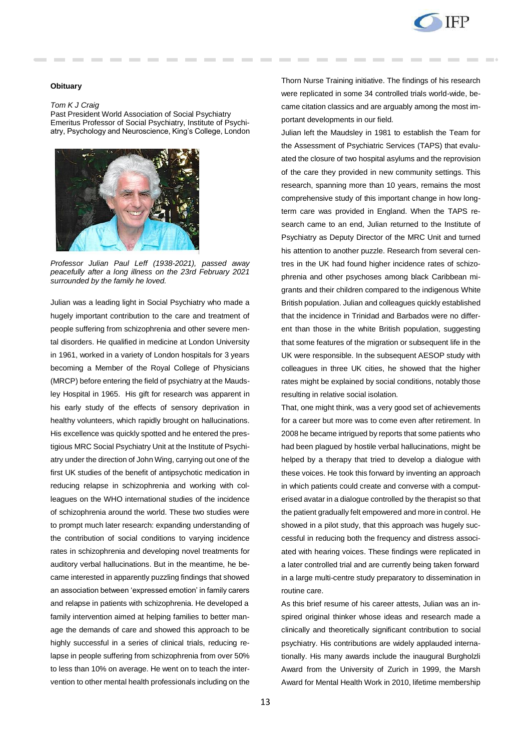

### **Obituary**

### *Tom K J Craig*

Past President World Association of Social Psychiatry Emeritus Professor of Social Psychiatry, Institute of Psychiatry, Psychology and Neuroscience, King's College, London



*Professor Julian Paul Leff (1938-2021), passed away peacefully after a long illness on the 23rd February 2021 surrounded by the family he loved.* 

Julian was a leading light in Social Psychiatry who made a hugely important contribution to the care and treatment of people suffering from schizophrenia and other severe mental disorders. He qualified in medicine at London University in 1961, worked in a variety of London hospitals for 3 years becoming a Member of the Royal College of Physicians (MRCP) before entering the field of psychiatry at the Maudsley Hospital in 1965. His gift for research was apparent in his early study of the effects of sensory deprivation in healthy volunteers, which rapidly brought on hallucinations. His excellence was quickly spotted and he entered the prestigious MRC Social Psychiatry Unit at the Institute of Psychiatry under the direction of John Wing, carrying out one of the first UK studies of the benefit of antipsychotic medication in reducing relapse in schizophrenia and working with colleagues on the WHO international studies of the incidence of schizophrenia around the world. These two studies were to prompt much later research: expanding understanding of the contribution of social conditions to varying incidence rates in schizophrenia and developing novel treatments for auditory verbal hallucinations. But in the meantime, he became interested in apparently puzzling findings that showed an association between 'expressed emotion' in family carers and relapse in patients with schizophrenia. He developed a family intervention aimed at helping families to better manage the demands of care and showed this approach to be highly successful in a series of clinical trials, reducing relapse in people suffering from schizophrenia from over 50% to less than 10% on average. He went on to teach the intervention to other mental health professionals including on the

Thorn Nurse Training initiative. The findings of his research were replicated in some 34 controlled trials world-wide, became citation classics and are arguably among the most important developments in our field.

Julian left the Maudsley in 1981 to establish the Team for the Assessment of Psychiatric Services (TAPS) that evaluated the closure of two hospital asylums and the reprovision of the care they provided in new community settings. This research, spanning more than 10 years, remains the most comprehensive study of this important change in how longterm care was provided in England. When the TAPS research came to an end, Julian returned to the Institute of Psychiatry as Deputy Director of the MRC Unit and turned his attention to another puzzle. Research from several centres in the UK had found higher incidence rates of schizophrenia and other psychoses among black Caribbean migrants and their children compared to the indigenous White British population. Julian and colleagues quickly established that the incidence in Trinidad and Barbados were no different than those in the white British population, suggesting that some features of the migration or subsequent life in the UK were responsible. In the subsequent AESOP study with colleagues in three UK cities, he showed that the higher rates might be explained by social conditions, notably those resulting in relative social isolation.

That, one might think, was a very good set of achievements for a career but more was to come even after retirement. In 2008 he became intrigued by reports that some patients who had been plagued by hostile verbal hallucinations, might be helped by a therapy that tried to develop a dialogue with these voices. He took this forward by inventing an approach in which patients could create and converse with a computerised avatar in a dialogue controlled by the therapist so that the patient gradually felt empowered and more in control. He showed in a pilot study, that this approach was hugely successful in reducing both the frequency and distress associated with hearing voices. These findings were replicated in a later controlled trial and are currently being taken forward in a large multi-centre study preparatory to dissemination in routine care.

As this brief resume of his career attests, Julian was an inspired original thinker whose ideas and research made a clinically and theoretically significant contribution to social psychiatry. His contributions are widely applauded internationally. His many awards include the inaugural Burgholzli Award from the University of Zurich in 1999, the Marsh Award for Mental Health Work in 2010, lifetime membership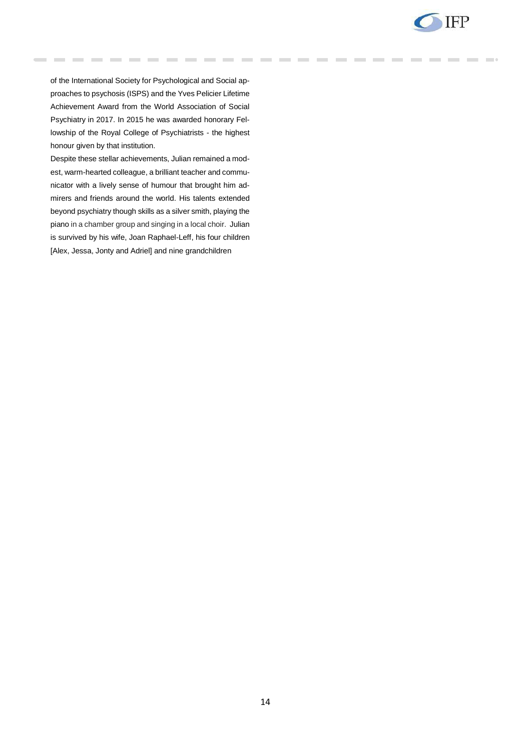

of the International Society for Psychological and Social approaches to psychosis (ISPS) and the Yves Pelicier Lifetime Achievement Award from the World Association of Social Psychiatry in 2017. In 2015 he was awarded honorary Fellowship of the Royal College of Psychiatrists - the highest honour given by that institution.

Despite these stellar achievements, Julian remained a modest, warm-hearted colleague, a brilliant teacher and communicator with a lively sense of humour that brought him admirers and friends around the world. His talents extended beyond psychiatry though skills as a silver smith, playing the piano in a chamber group and singing in a local choir. Julian is survived by his wife, Joan Raphael-Leff, his four children [Alex, Jessa, Jonty and Adriel] and nine grandchildren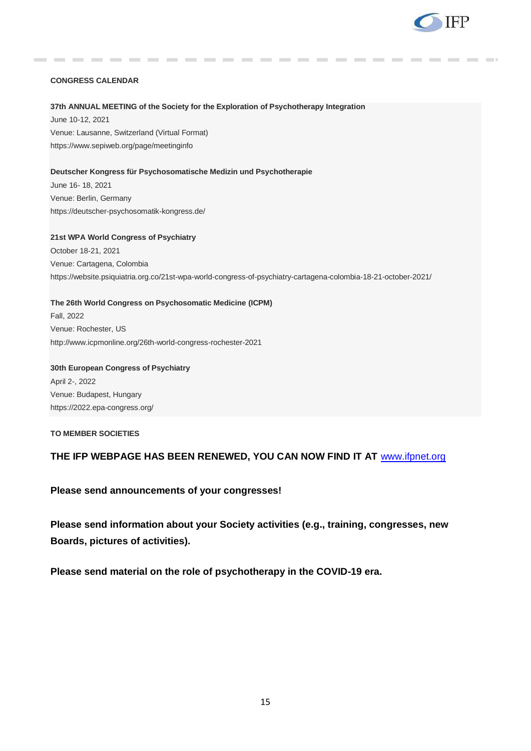

# **CONGRESS CALENDAR**

## **37th ANNUAL MEETING of the Society for the Exploration of Psychotherapy Integration**

June 10-12, 2021 Venue: Lausanne, Switzerland (Virtual Format) <https://www.sepiweb.org/page/meetinginfo>

# **Deutscher Kongress für Psychosomatische Medizin und Psychotherapie**

June 16- 18, 2021 Venue: Berlin, Germany https://deutscher-psychosomatik-kongress.de/

**21st WPA World Congress of Psychiatry**  October 18-21, 2021 Venue: Cartagena, Colombia https://website.psiquiatria.org.co/21st-wpa-world-congress-of-psychiatry-cartagena-colombia-18-21-october-2021/

**The 26th World Congress on Psychosomatic Medicine (ICPM)** Fall, 2022 Venue: Rochester, US <http://www.icpmonline.org/26th-world-congress-rochester-2021>

**30th European Congress of Psychiatry** April 2-, 2022 Venue: Budapest, Hungary https://2022.epa-congress.org/

**TO MEMBER SOCIETIES** 

# **THE IFP WEBPAGE HAS BEEN RENEWED, YOU CAN NOW FIND IT AT** [www.ifpnet.org](http://www.ifpnet.org/)

**Please send announcements of your congresses!**

**Please send information about your Society activities (e.g., training, congresses, new Boards, pictures of activities).** 

**Please send material on the role of psychotherapy in the COVID-19 era.**